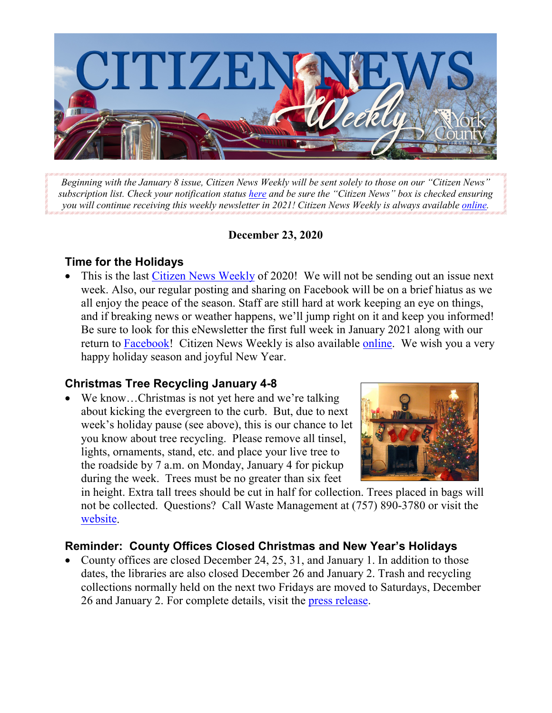

*Beginning with the January 8 issue, Citizen News Weekly will be sent solely to those on our "Citizen News" subscription list. Check your notification status [here](https://www.yorkcounty.gov/list.aspx?ListID=257) and be sure the "Citizen News" box is checked ensuring you will continue receiving this weekly newsletter in 2021! Citizen News Weekly is always available [online.](https://www.yorkcounty.gov/CivicAlerts.aspx?AID=1508)*

#### **December 23, 2020**

## **Time for the Holidays**

This is the last [Citizen News Weekly](https://www.yorkcounty.gov/CivicAlerts.aspx?AID=1508) of 2020! We will not be sending out an issue next week. Also, our regular posting and sharing on Facebook will be on a brief hiatus as we all enjoy the peace of the season. Staff are still hard at work keeping an eye on things, and if breaking news or weather happens, we'll jump right on it and keep you informed! Be sure to look for this eNewsletter the first full week in January 2021 along with our return to [Facebook!](https://www.facebook.com/yorkcountyva) Citizen News Weekly is also available [online.](https://www.yorkcounty.gov/CivicAlerts.aspx?AID=1508) We wish you a very happy holiday season and joyful New Year.

#### **Christmas Tree Recycling January 4-8**

We know...Christmas is not yet here and we're talking about kicking the evergreen to the curb. But, due to next week's holiday pause (see above), this is our chance to let you know about tree recycling. Please remove all tinsel, lights, ornaments, stand, etc. and place your live tree to the roadside by 7 a.m. on Monday, January 4 for pickup during the week. Trees must be no greater than six feet



in height. Extra tall trees should be cut in half for collection. Trees placed in bags will not be collected. Questions? Call Waste Management at (757) 890-3780 or visit the [website.](https://www.yorkcounty.gov/CivicAlerts.aspx?AID=1838)

# **Reminder: County Offices Closed Christmas and New Year's Holidays**

• County offices are closed December 24, 25, 31, and January 1. In addition to those dates, the libraries are also closed December 26 and January 2. Trash and recycling collections normally held on the next two Fridays are moved to Saturdays, December 26 and January 2. For complete details, visit the [press release.](https://www.yorkcounty.gov/DocumentCenter/View/29260/York-County-Government--Courts-Holiday-Schedule)